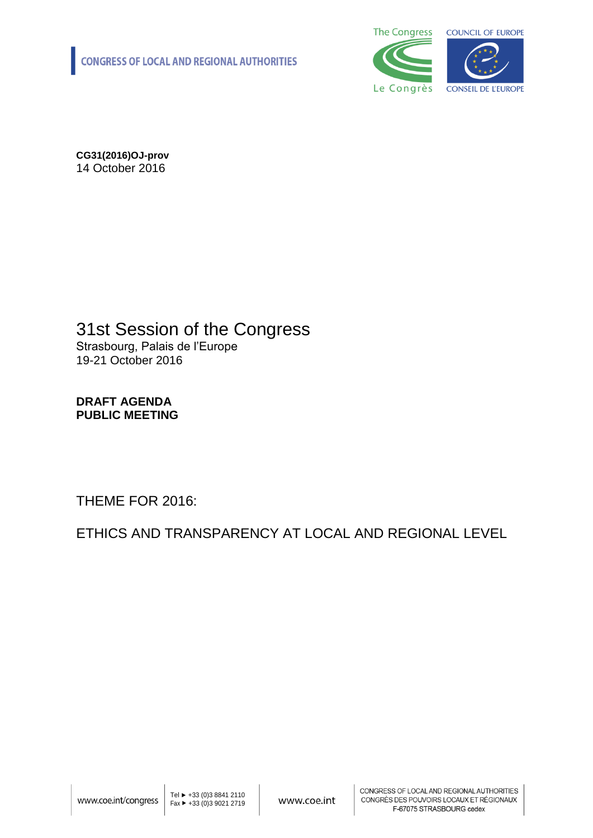

**CG31(2016)OJ-prov** 14 October 2016

### 31st Session of the Congress Strasbourg, Palais de l'Europe 19-21 October 2016

#### **DRAFT AGENDA PUBLIC MEETING**

THEME FOR 2016:

ETHICS AND TRANSPARENCY AT LOCAL AND REGIONAL LEVEL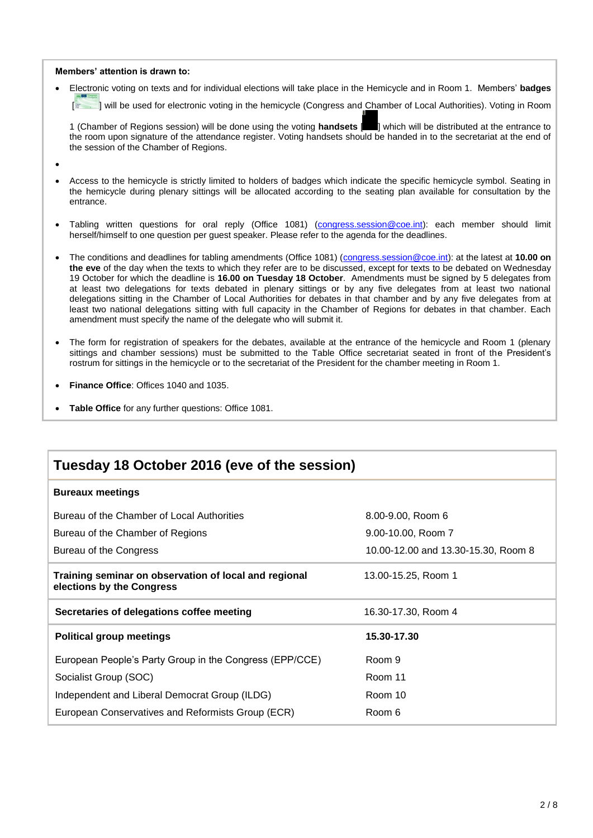#### **Members' attention is drawn to:**

Electronic voting on texts and for individual elections will take place in the Hemicycle and in Room 1. Members' **badges**

[ $\equiv$  ] will be used for electronic voting in the hemicycle (Congress and Chamber of Local Authorities). Voting in Room

1 (Chamber of Regions session) will be done using the voting **handsets** [ ] which will be distributed at the entrance to the room upon signature of the attendance register. Voting handsets should be handed in to the secretariat at the end of the session of the Chamber of Regions.

- $\bullet$
- Access to the hemicycle is strictly limited to holders of badges which indicate the specific hemicycle symbol. Seating in the hemicycle during plenary sittings will be allocated according to the seating plan available for consultation by the entrance.
- Tabling written questions for oral reply (Office 1081) [\(congress.session@coe.int\)](mailto:congress.session@coe.int): each member should limit herself/himself to one question per guest speaker. Please refer to the agenda for the deadlines.
- The conditions and deadlines for tabling amendments (Office 1081) [\(congress.session@coe.int\)](mailto:congress.session@coe.int): at the latest at **10.00 on the eve** of the day when the texts to which they refer are to be discussed, except for texts to be debated on Wednesday 19 October for which the deadline is **16.00 on Tuesday 18 October**. Amendments must be signed by 5 delegates from at least two delegations for texts debated in plenary sittings or by any five delegates from at least two national delegations sitting in the Chamber of Local Authorities for debates in that chamber and by any five delegates from at least two national delegations sitting with full capacity in the Chamber of Regions for debates in that chamber. Each amendment must specify the name of the delegate who will submit it.
- The form for registration of speakers for the debates, available at the entrance of the hemicycle and Room 1 (plenary sittings and chamber sessions) must be submitted to the Table Office secretariat seated in front of the President's rostrum for sittings in the hemicycle or to the secretariat of the President for the chamber meeting in Room 1.
- **Finance Office**: Offices 1040 and 1035.
- **Table Office** for any further questions: Office 1081.

| Tuesday 18 October 2016 (eve of the session)                                       |                                     |  |  |
|------------------------------------------------------------------------------------|-------------------------------------|--|--|
| <b>Bureaux meetings</b>                                                            |                                     |  |  |
| Bureau of the Chamber of Local Authorities                                         | 8.00-9.00, Room 6                   |  |  |
| Bureau of the Chamber of Regions                                                   | 9.00-10.00, Room 7                  |  |  |
| Bureau of the Congress                                                             | 10.00-12.00 and 13.30-15.30, Room 8 |  |  |
| Training seminar on observation of local and regional<br>elections by the Congress | 13.00-15.25, Room 1                 |  |  |
| Secretaries of delegations coffee meeting                                          | 16.30-17.30, Room 4                 |  |  |
| <b>Political group meetings</b>                                                    | 15.30-17.30                         |  |  |
| European People's Party Group in the Congress (EPP/CCE)                            | Room 9                              |  |  |
| Socialist Group (SOC)                                                              | Room 11                             |  |  |
| Independent and Liberal Democrat Group (ILDG)                                      | Room 10                             |  |  |
| European Conservatives and Reformists Group (ECR)                                  | Room 6                              |  |  |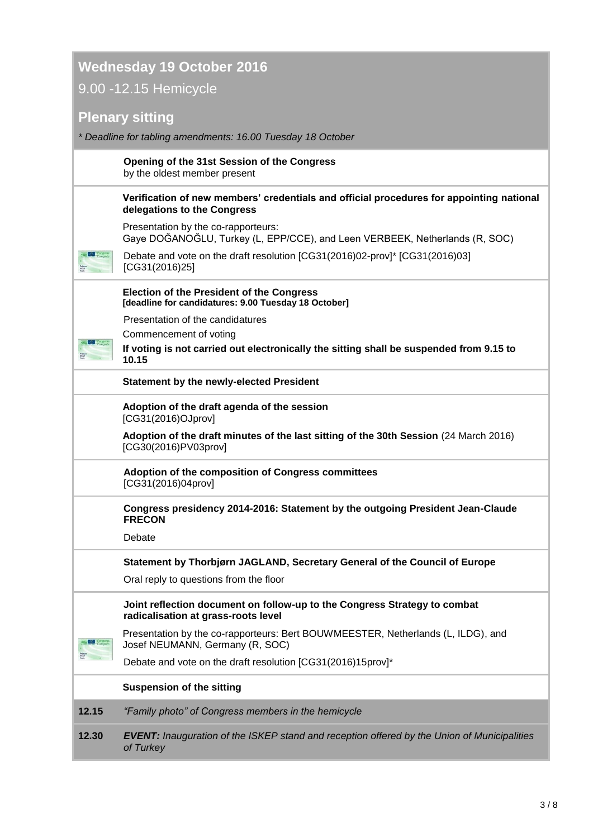## **Wednesday 19 October 2016** 9.00 -12.15 Hemicycle

### **Plenary sitting**

| * Deadline for tabling amendments: 16.00 Tuesday 18 October |  |
|-------------------------------------------------------------|--|
|-------------------------------------------------------------|--|

**Opening of the 31st Session of the Congress**  by the oldest member present

**Verification of new members' credentials and official procedures for appointing national delegations to the Congress**

Presentation by the co-rapporteurs: Gaye DOĞANOĞLU, Turkey (L, EPP/CCE), and Leen VERBEEK, Netherlands (R, SOC)



Debate and vote on the draft resolution [CG31(2016)02-prov]\* [CG31(2016)03] [CG31(2016)25]

**Election of the President of the Congress [deadline for candidatures: 9.00 Tuesday 18 October]**

Presentation of the candidatures

Commencement of voting

**If voting is not carried out electronically the sitting shall be suspended from 9.15 to 10.15**

#### **Statement by the newly-elected President**

**Adoption of the draft agenda of the session** [CG31(2016)OJprov]

**Adoption of the draft minutes of the last sitting of the 30th Session** (24 March 2016) [CG30(2016)PV03prov]

**Adoption of the composition of Congress committees** [CG31(2016)04prov]

**Congress presidency 2014-2016: Statement by the outgoing President Jean-Claude FRECON**

Debate

**Statement by Thorbjørn JAGLAND, Secretary General of the Council of Europe**

Oral reply to questions from the floor

**Joint reflection document on follow-up to the Congress Strategy to combat radicalisation at grass-roots level**

Presentation by the co-rapporteurs: Bert BOUWMEESTER, Netherlands (L, ILDG), and Josef NEUMANN, Germany (R, SOC)

Debate and vote on the draft resolution [CG31(2016)15prov]\*

#### **Suspension of the sitting**

**12.15** *"Family photo" of Congress members in the hemicycle*

**12.30** *EVENT: Inauguration of the ISKEP stand and reception offered by the Union of Municipalities of Turkey*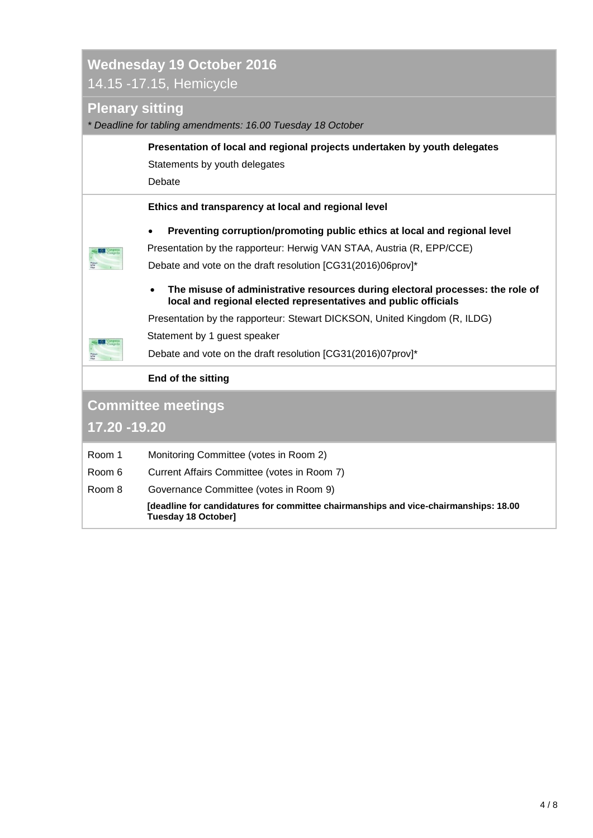## **Wednesday 19 October 2016** 14.15 -17.15, Hemicycle

### **Plenary sitting**

*\* Deadline for tabling amendments: 16.00 Tuesday 18 October*

|                           | Presentation of local and regional projects undertaken by youth delegates<br>Statements by youth delegates<br>Debate                                                                                                                                                                                                                                                                                                                                                                                          |  |  |
|---------------------------|---------------------------------------------------------------------------------------------------------------------------------------------------------------------------------------------------------------------------------------------------------------------------------------------------------------------------------------------------------------------------------------------------------------------------------------------------------------------------------------------------------------|--|--|
|                           | Ethics and transparency at local and regional level                                                                                                                                                                                                                                                                                                                                                                                                                                                           |  |  |
|                           | Preventing corruption/promoting public ethics at local and regional level<br>$\bullet$<br>Presentation by the rapporteur: Herwig VAN STAA, Austria (R, EPP/CCE)<br>Debate and vote on the draft resolution [CG31(2016)06prov]*<br>The misuse of administrative resources during electoral processes: the role of<br>$\bullet$<br>local and regional elected representatives and public officials<br>Presentation by the rapporteur: Stewart DICKSON, United Kingdom (R, ILDG)<br>Statement by 1 guest speaker |  |  |
|                           | Debate and vote on the draft resolution [CG31(2016)07prov]*                                                                                                                                                                                                                                                                                                                                                                                                                                                   |  |  |
|                           | <b>End of the sitting</b>                                                                                                                                                                                                                                                                                                                                                                                                                                                                                     |  |  |
| <b>Committee meetings</b> |                                                                                                                                                                                                                                                                                                                                                                                                                                                                                                               |  |  |
| 17.20 - 19.20             |                                                                                                                                                                                                                                                                                                                                                                                                                                                                                                               |  |  |
| Room 1                    | Monitoring Committee (votes in Room 2)                                                                                                                                                                                                                                                                                                                                                                                                                                                                        |  |  |

- Room 6 Current Affairs Committee (votes in Room 7)
- Room 8 Governance Committee (votes in Room 9)

**[deadline for candidatures for committee chairmanships and vice-chairmanships: 18.00 Tuesday 18 October]**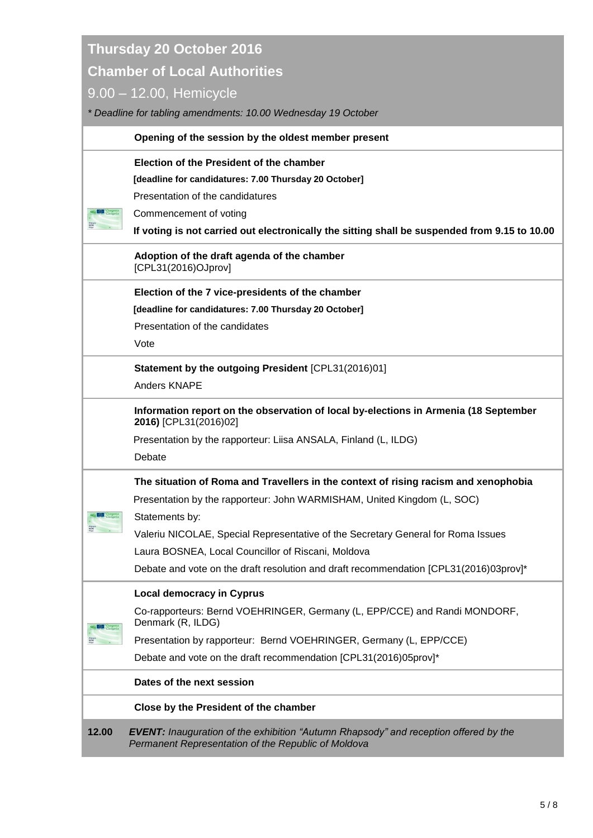**Thursday 20 October 2016**

### **Chamber of Local Authorities**

### 9.00 – 12.00, Hemicycle

| * Deadline for tabling amendments: 10.00 Wednesday 19 October |                                                                                                                                                    |  |
|---------------------------------------------------------------|----------------------------------------------------------------------------------------------------------------------------------------------------|--|
|                                                               | Opening of the session by the oldest member present                                                                                                |  |
|                                                               | Election of the President of the chamber                                                                                                           |  |
|                                                               | [deadline for candidatures: 7.00 Thursday 20 October]                                                                                              |  |
|                                                               | Presentation of the candidatures                                                                                                                   |  |
|                                                               | Commencement of voting                                                                                                                             |  |
|                                                               | If voting is not carried out electronically the sitting shall be suspended from 9.15 to 10.00                                                      |  |
|                                                               | Adoption of the draft agenda of the chamber<br>[CPL31(2016)OJprov]                                                                                 |  |
|                                                               | Election of the 7 vice-presidents of the chamber                                                                                                   |  |
|                                                               | [deadline for candidatures: 7.00 Thursday 20 October]                                                                                              |  |
|                                                               | Presentation of the candidates                                                                                                                     |  |
|                                                               | Vote                                                                                                                                               |  |
|                                                               | Statement by the outgoing President [CPL31(2016)01]                                                                                                |  |
|                                                               | <b>Anders KNAPE</b>                                                                                                                                |  |
|                                                               | Information report on the observation of local by-elections in Armenia (18 September<br>2016) [CPL31(2016)02]                                      |  |
|                                                               | Presentation by the rapporteur: Liisa ANSALA, Finland (L, ILDG)                                                                                    |  |
|                                                               | Debate                                                                                                                                             |  |
|                                                               | The situation of Roma and Travellers in the context of rising racism and xenophobia                                                                |  |
|                                                               | Presentation by the rapporteur: John WARMISHAM, United Kingdom (L, SOC)                                                                            |  |
|                                                               | Statements by:                                                                                                                                     |  |
|                                                               | Valeriu NICOLAE, Special Representative of the Secretary General for Roma Issues                                                                   |  |
|                                                               | Laura BOSNEA, Local Councillor of Riscani, Moldova                                                                                                 |  |
|                                                               | Debate and vote on the draft resolution and draft recommendation [CPL31(2016)03prov]*                                                              |  |
|                                                               | <b>Local democracy in Cyprus</b>                                                                                                                   |  |
| $\leq$ $\frac{C}{C}$ congress                                 | Co-rapporteurs: Bernd VOEHRINGER, Germany (L, EPP/CCE) and Randi MONDORF,<br>Denmark (R, ILDG)                                                     |  |
| NOM                                                           | Presentation by rapporteur: Bernd VOEHRINGER, Germany (L, EPP/CCE)                                                                                 |  |
|                                                               | Debate and vote on the draft recommendation [CPL31(2016)05prov]*                                                                                   |  |
|                                                               | Dates of the next session                                                                                                                          |  |
|                                                               | Close by the President of the chamber                                                                                                              |  |
| 12.00                                                         | <b>EVENT:</b> Inauguration of the exhibition "Autumn Rhapsody" and reception offered by the<br>Permanent Representation of the Republic of Moldova |  |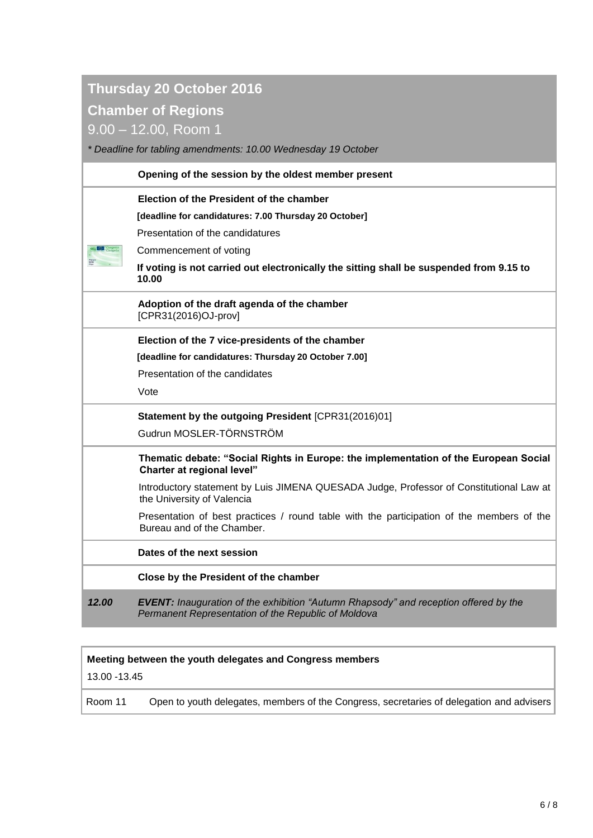## **Thursday 20 October 2016**

### **Chamber of Regions**

9.00 – 12.00, Room 1

*\* Deadline for tabling amendments: 10.00 Wednesday 19 October*

|       | Opening of the session by the oldest member present                                                                                                |  |
|-------|----------------------------------------------------------------------------------------------------------------------------------------------------|--|
|       | Election of the President of the chamber                                                                                                           |  |
|       | [deadline for candidatures: 7.00 Thursday 20 October]                                                                                              |  |
|       | Presentation of the candidatures                                                                                                                   |  |
|       | Commencement of voting                                                                                                                             |  |
|       | If voting is not carried out electronically the sitting shall be suspended from 9.15 to<br>10.00                                                   |  |
|       | Adoption of the draft agenda of the chamber<br>[CPR31(2016)OJ-prov]                                                                                |  |
|       | Election of the 7 vice-presidents of the chamber                                                                                                   |  |
|       | [deadline for candidatures: Thursday 20 October 7.00]                                                                                              |  |
|       | Presentation of the candidates                                                                                                                     |  |
|       | Vote                                                                                                                                               |  |
|       | Statement by the outgoing President [CPR31(2016)01]                                                                                                |  |
|       | Gudrun MOSLER-TÖRNSTRÖM                                                                                                                            |  |
|       | Thematic debate: "Social Rights in Europe: the implementation of the European Social<br>Charter at regional level"                                 |  |
|       | Introductory statement by Luis JIMENA QUESADA Judge, Professor of Constitutional Law at<br>the University of Valencia                              |  |
|       | Presentation of best practices / round table with the participation of the members of the<br>Bureau and of the Chamber.                            |  |
|       | Dates of the next session                                                                                                                          |  |
|       | Close by the President of the chamber                                                                                                              |  |
| 12.00 | <b>EVENT:</b> Inauguration of the exhibition "Autumn Rhapsody" and reception offered by the<br>Permanent Representation of the Republic of Moldova |  |

#### **Meeting between the youth delegates and Congress members**

13.00 -13.45

Room 11 Open to youth delegates, members of the Congress, secretaries of delegation and advisers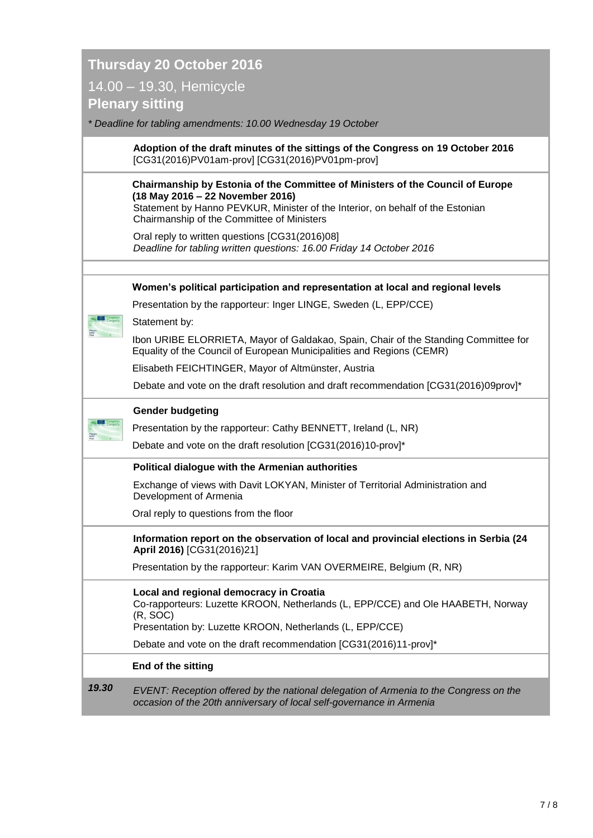## **Thursday 20 October 2016** 14.00 – 19.30, Hemicycle **Plenary sitting**

*\* Deadline for tabling amendments: 10.00 Wednesday 19 October*

**Adoption of the draft minutes of the sittings of the Congress on 19 October 2016** [CG31(2016)PV01am-prov] [CG31(2016)PV01pm-prov]

#### **Chairmanship by Estonia of the Committee of Ministers of the Council of Europe (18 May 2016 – 22 November 2016)**

Statement by Hanno PEVKUR, Minister of the Interior, on behalf of the Estonian Chairmanship of the Committee of Ministers

|       | Oral reply to written questions [CG31(2016)08]<br>Deadline for tabling written questions: 16.00 Friday 14 October 2016                                                                             |  |  |  |
|-------|----------------------------------------------------------------------------------------------------------------------------------------------------------------------------------------------------|--|--|--|
|       |                                                                                                                                                                                                    |  |  |  |
|       | Women's political participation and representation at local and regional levels                                                                                                                    |  |  |  |
|       | Presentation by the rapporteur: Inger LINGE, Sweden (L, EPP/CCE)                                                                                                                                   |  |  |  |
|       | Statement by:                                                                                                                                                                                      |  |  |  |
|       | Ibon URIBE ELORRIETA, Mayor of Galdakao, Spain, Chair of the Standing Committee for<br>Equality of the Council of European Municipalities and Regions (CEMR)                                       |  |  |  |
|       | Elisabeth FEICHTINGER, Mayor of Altmünster, Austria                                                                                                                                                |  |  |  |
|       | Debate and vote on the draft resolution and draft recommendation [CG31(2016)09prov]*                                                                                                               |  |  |  |
|       | <b>Gender budgeting</b>                                                                                                                                                                            |  |  |  |
|       | Presentation by the rapporteur: Cathy BENNETT, Ireland (L, NR)                                                                                                                                     |  |  |  |
|       | Debate and vote on the draft resolution [CG31(2016)10-prov]*                                                                                                                                       |  |  |  |
|       | Political dialogue with the Armenian authorities                                                                                                                                                   |  |  |  |
|       | Exchange of views with Davit LOKYAN, Minister of Territorial Administration and<br>Development of Armenia                                                                                          |  |  |  |
|       | Oral reply to questions from the floor                                                                                                                                                             |  |  |  |
|       | Information report on the observation of local and provincial elections in Serbia (24<br>April 2016) [CG31(2016)21]                                                                                |  |  |  |
|       | Presentation by the rapporteur: Karim VAN OVERMEIRE, Belgium (R, NR)                                                                                                                               |  |  |  |
|       | Local and regional democracy in Croatia<br>Co-rapporteurs: Luzette KROON, Netherlands (L, EPP/CCE) and Ole HAABETH, Norway<br>(R, SOC)<br>Presentation by: Luzette KROON, Netherlands (L, EPP/CCE) |  |  |  |
|       | Debate and vote on the draft recommendation [CG31(2016)11-prov]*                                                                                                                                   |  |  |  |
|       |                                                                                                                                                                                                    |  |  |  |
|       | End of the sitting                                                                                                                                                                                 |  |  |  |
| 19.30 | EVENT: Reception offered by the national delegation of Armenia to the Congress on the<br>occasion of the 20th anniversary of local self-governance in Armenia                                      |  |  |  |